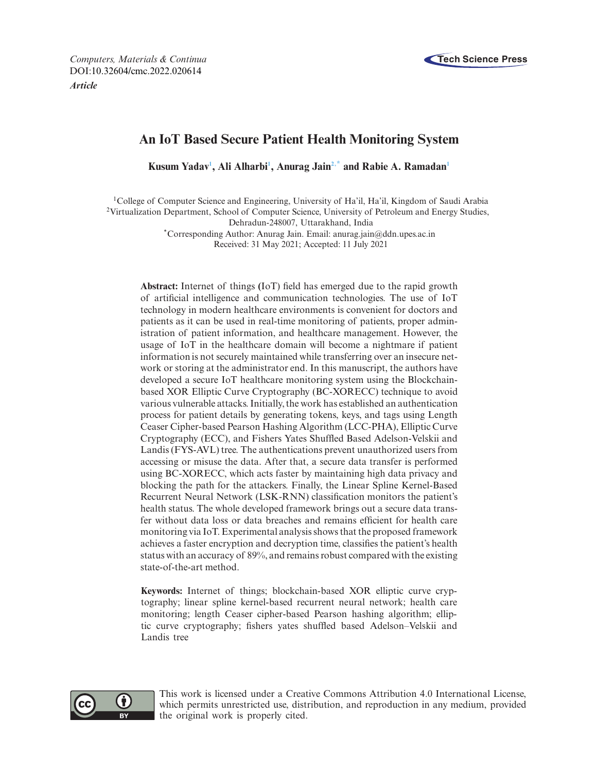

# **An IoT Based Secure Patient Health Monitoring System**

 $K$ usum Yadav<sup>1</sup>, Ali Alharbi<sup>1</sup>, Anurag Jain<sup>2[,\\*](#page-0-2)</sup> and Rabie A. Ramadan<sup>1</sup>

<span id="page-0-1"></span><span id="page-0-0"></span>1College of Computer Science and Engineering, University of Ha'il, Ha'il, Kingdom of Saudi Arabia 2Virtualization Department, School of Computer Science, University of Petroleum and Energy Studies, Dehradun-248007, Uttarakhand, India

<span id="page-0-2"></span>\*Corresponding Author: Anurag Jain. Email: anurag.jain@ddn.upes.ac.in Received: 31 May 2021; Accepted: 11 July 2021

**Abstract:** Internet of things **(**IoT) field has emerged due to the rapid growth of artificial intelligence and communication technologies. The use of IoT technology in modern healthcare environments is convenient for doctors and patients as it can be used in real-time monitoring of patients, proper administration of patient information, and healthcare management. However, the usage of IoT in the healthcare domain will become a nightmare if patient information is not securely maintained while transferring over an insecure network or storing at the administrator end. In this manuscript, the authors have developed a secure IoT healthcare monitoring system using the Blockchainbased XOR Elliptic Curve Cryptography (BC-XORECC) technique to avoid various vulnerable attacks. Initially, the work has established an authentication process for patient details by generating tokens, keys, and tags using Length Ceaser Cipher-based Pearson Hashing Algorithm (LCC-PHA), Elliptic Curve Cryptography (ECC), and Fishers Yates Shuffled Based Adelson-Velskii and Landis (FYS-AVL) tree. The authentications prevent unauthorized users from accessing or misuse the data. After that, a secure data transfer is performed using BC-XORECC, which acts faster by maintaining high data privacy and blocking the path for the attackers. Finally, the Linear Spline Kernel-Based Recurrent Neural Network (LSK-RNN) classification monitors the patient's health status. The whole developed framework brings out a secure data transfer without data loss or data breaches and remains efficient for health care monitoring via IoT. Experimental analysis shows that the proposed framework achieves a faster encryption and decryption time, classifies the patient's health status with an accuracy of 89%, and remains robust compared with the existing state-of-the-art method.

**Keywords:** Internet of things; blockchain-based XOR elliptic curve cryptography; linear spline kernel-based recurrent neural network; health care monitoring; length Ceaser cipher-based Pearson hashing algorithm; elliptic curve cryptography; fishers yates shuffled based Adelson–Velskii and Landis tree



This work is licensed under a Creative Commons Attribution 4.0 International License, which permits unrestricted use, distribution, and reproduction in any medium, provided the original work is properly cited.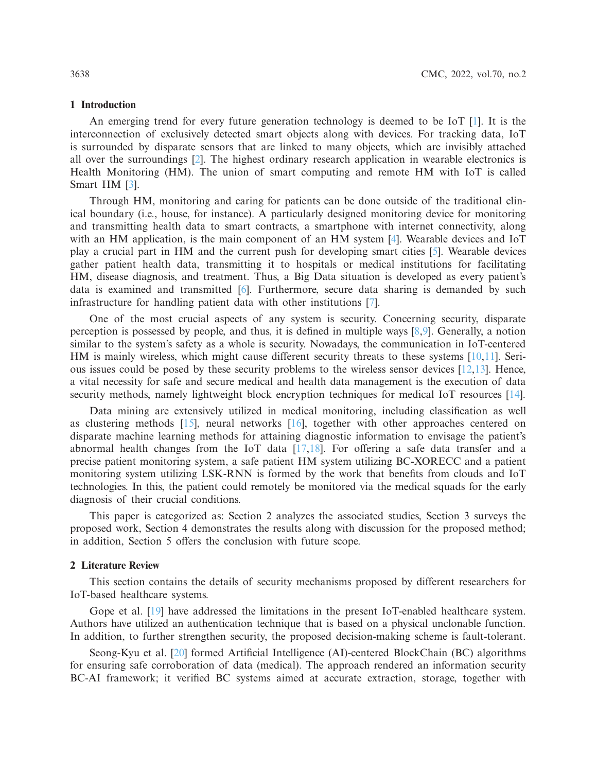# **1 Introduction**

An emerging trend for every future generation technology is deemed to be IoT [\[1](#page-14-0)]. It is the interconnection of exclusively detected smart objects along with devices. For tracking data, IoT is surrounded by disparate sensors that are linked to many objects, which are invisibly attached all over the surroundings [\[2\]](#page-14-1). The highest ordinary research application in wearable electronics is Health Monitoring (HM). The union of smart computing and remote HM with IoT is called Smart HM [\[3](#page-14-2)].

Through HM, monitoring and caring for patients can be done outside of the traditional clinical boundary (i.e., house, for instance). A particularly designed monitoring device for monitoring and transmitting health data to smart contracts, a smartphone with internet connectivity, along with an HM application, is the main component of an HM system [\[4\]](#page-14-3). Wearable devices and IoT play a crucial part in HM and the current push for developing smart cities [\[5](#page-14-4)]. Wearable devices gather patient health data, transmitting it to hospitals or medical institutions for facilitating HM, disease diagnosis, and treatment. Thus, a Big Data situation is developed as every patient's data is examined and transmitted [\[6\]](#page-14-5). Furthermore, secure data sharing is demanded by such infrastructure for handling patient data with other institutions [\[7](#page-14-6)].

One of the most crucial aspects of any system is security. Concerning security, disparate perception is possessed by people, and thus, it is defined in multiple ways [\[8](#page-14-7)[,9](#page-14-8)]. Generally, a notion similar to the system's safety as a whole is security. Nowadays, the communication in IoT-centered HM is mainly wireless, which might cause different security threats to these systems  $[10,11]$  $[10,11]$ . Serious issues could be posed by these security problems to the wireless sensor devices  $[12,13]$  $[12,13]$  $[12,13]$ . Hence, a vital necessity for safe and secure medical and health data management is the execution of data security methods, namely lightweight block encryption techniques for medical IoT resources [\[14](#page-15-3)].

Data mining are extensively utilized in medical monitoring, including classification as well as clustering methods [\[15](#page-15-4)], neural networks [\[16](#page-15-5)], together with other approaches centered on disparate machine learning methods for attaining diagnostic information to envisage the patient's abnormal health changes from the IoT data [\[17](#page-15-6)[,18\]](#page-15-7). For offering a safe data transfer and a precise patient monitoring system, a safe patient HM system utilizing BC-XORECC and a patient monitoring system utilizing LSK-RNN is formed by the work that benefits from clouds and IoT technologies. In this, the patient could remotely be monitored via the medical squads for the early diagnosis of their crucial conditions.

This paper is categorized as: Section 2 analyzes the associated studies, Section 3 surveys the proposed work, Section 4 demonstrates the results along with discussion for the proposed method; in addition, Section 5 offers the conclusion with future scope.

### **2 Literature Review**

This section contains the details of security mechanisms proposed by different researchers for IoT-based healthcare systems.

Gope et al. [\[19](#page-15-8)] have addressed the limitations in the present IoT-enabled healthcare system. Authors have utilized an authentication technique that is based on a physical unclonable function. In addition, to further strengthen security, the proposed decision-making scheme is fault-tolerant.

Seong-Kyu et al. [\[20](#page-15-9)] formed Artificial Intelligence (AI)-centered BlockChain (BC) algorithms for ensuring safe corroboration of data (medical). The approach rendered an information security BC-AI framework; it verified BC systems aimed at accurate extraction, storage, together with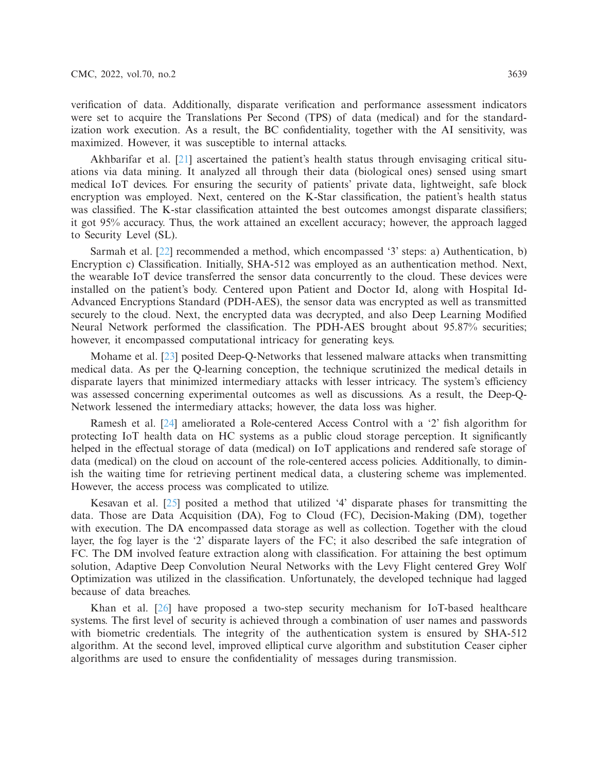verification of data. Additionally, disparate verification and performance assessment indicators were set to acquire the Translations Per Second (TPS) of data (medical) and for the standardization work execution. As a result, the BC confidentiality, together with the AI sensitivity, was maximized. However, it was susceptible to internal attacks.

Akhbarifar et al. [\[21\]](#page-15-10) ascertained the patient's health status through envisaging critical situations via data mining. It analyzed all through their data (biological ones) sensed using smart medical IoT devices. For ensuring the security of patients' private data, lightweight, safe block encryption was employed. Next, centered on the K-Star classification, the patient's health status was classified. The K-star classification attainted the best outcomes amongst disparate classifiers; it got 95% accuracy. Thus, the work attained an excellent accuracy; however, the approach lagged to Security Level (SL).

Sarmah et al. [\[22](#page-15-11)] recommended a method, which encompassed '3' steps: a) Authentication, b) Encryption c) Classification. Initially, SHA-512 was employed as an authentication method. Next, the wearable IoT device transferred the sensor data concurrently to the cloud. These devices were installed on the patient's body. Centered upon Patient and Doctor Id, along with Hospital Id-Advanced Encryptions Standard (PDH-AES), the sensor data was encrypted as well as transmitted securely to the cloud. Next, the encrypted data was decrypted, and also Deep Learning Modified Neural Network performed the classification. The PDH-AES brought about 95.87% securities; however, it encompassed computational intricacy for generating keys.

Mohame et al. [\[23\]](#page-15-12) posited Deep-Q-Networks that lessened malware attacks when transmitting medical data. As per the Q-learning conception, the technique scrutinized the medical details in disparate layers that minimized intermediary attacks with lesser intricacy. The system's efficiency was assessed concerning experimental outcomes as well as discussions. As a result, the Deep-Q-Network lessened the intermediary attacks; however, the data loss was higher.

Ramesh et al. [\[24\]](#page-15-13) ameliorated a Role-centered Access Control with a '2' fish algorithm for protecting IoT health data on HC systems as a public cloud storage perception. It significantly helped in the effectual storage of data (medical) on IoT applications and rendered safe storage of data (medical) on the cloud on account of the role-centered access policies. Additionally, to diminish the waiting time for retrieving pertinent medical data, a clustering scheme was implemented. However, the access process was complicated to utilize.

Kesavan et al. [\[25\]](#page-15-14) posited a method that utilized '4' disparate phases for transmitting the data. Those are Data Acquisition (DA), Fog to Cloud (FC), Decision-Making (DM), together with execution. The DA encompassed data storage as well as collection. Together with the cloud layer, the fog layer is the '2' disparate layers of the FC; it also described the safe integration of FC. The DM involved feature extraction along with classification. For attaining the best optimum solution, Adaptive Deep Convolution Neural Networks with the Levy Flight centered Grey Wolf Optimization was utilized in the classification. Unfortunately, the developed technique had lagged because of data breaches.

Khan et al. [\[26\]](#page-15-15) have proposed a two-step security mechanism for IoT-based healthcare systems. The first level of security is achieved through a combination of user names and passwords with biometric credentials. The integrity of the authentication system is ensured by SHA-512 algorithm. At the second level, improved elliptical curve algorithm and substitution Ceaser cipher algorithms are used to ensure the confidentiality of messages during transmission.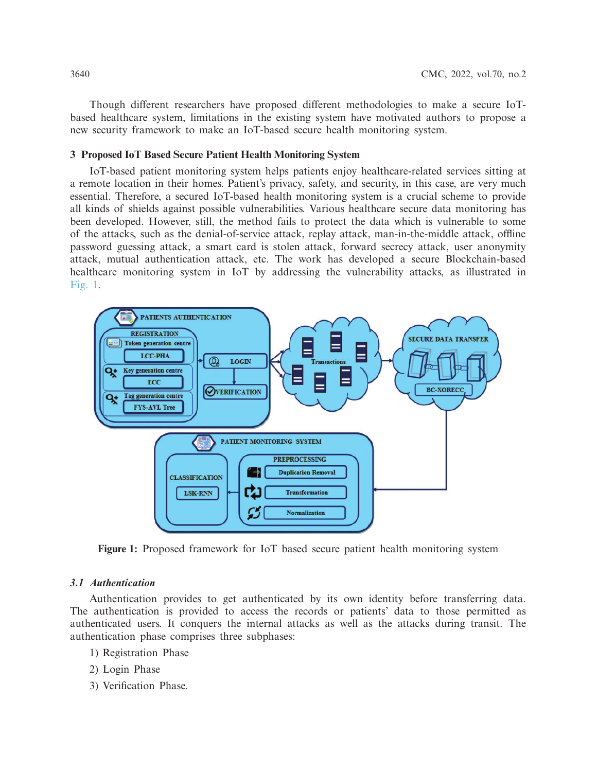Though different researchers have proposed different methodologies to make a secure IoTbased healthcare system, limitations in the existing system have motivated authors to propose a new security framework to make an IoT-based secure health monitoring system.

# **3 Proposed IoT Based Secure Patient Health Monitoring System**

IoT-based patient monitoring system helps patients enjoy healthcare-related services sitting at a remote location in their homes. Patient's privacy, safety, and security, in this case, are very much essential. Therefore, a secured IoT-based health monitoring system is a crucial scheme to provide all kinds of shields against possible vulnerabilities. Various healthcare secure data monitoring has been developed. However, still, the method fails to protect the data which is vulnerable to some of the attacks, such as the denial-of-service attack, replay attack, man-in-the-middle attack, offline password guessing attack, a smart card is stolen attack, forward secrecy attack, user anonymity attack, mutual authentication attack, etc. The work has developed a secure Blockchain-based healthcare monitoring system in IoT by addressing the vulnerability attacks, as illustrated in [Fig. 1.](#page-3-0)



<span id="page-3-0"></span>**Figure 1:** Proposed framework for IoT based secure patient health monitoring system

# *3.1 Authentication*

Authentication provides to get authenticated by its own identity before transferring data. The authentication is provided to access the records or patients' data to those permitted as authenticated users. It conquers the internal attacks as well as the attacks during transit. The authentication phase comprises three subphases:

- 1) Registration Phase
- 2) Login Phase
- 3) Verification Phase.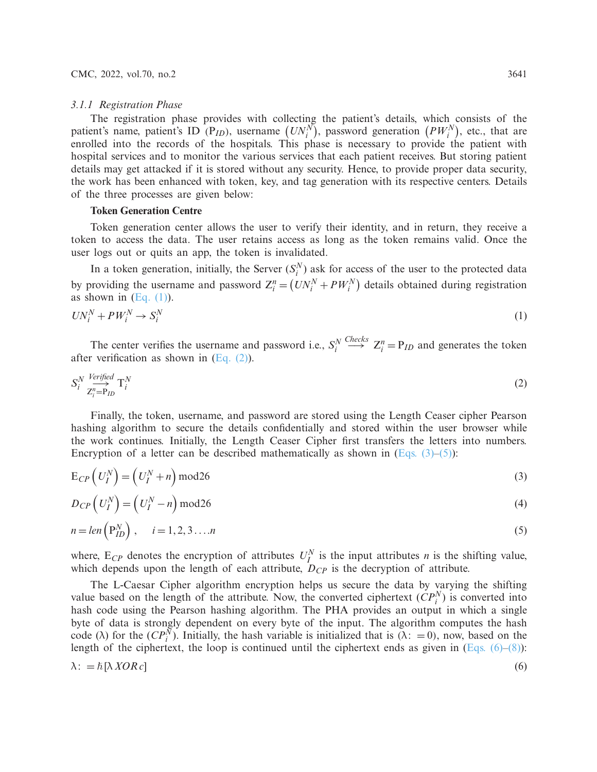#### *3.1.1 Registration Phase*

The registration phase provides with collecting the patient's details, which consists of the patient's name, patient's ID (P<sub>ID</sub>), username  $(UN_i^N)$ , password generation  $(PW_i^N)$ , etc., that are enrolled into the records of the hospitals. This phase is necessary to provide the patient with hospital services and to monitor the various services that each patient receives. But storing patient details may get attacked if it is stored without any security. Hence, to provide proper data security, the work has been enhanced with token, key, and tag generation with its respective centers. Details of the three processes are given below:

#### **Token Generation Centre**

Token generation center allows the user to verify their identity, and in return, they receive a token to access the data. The user retains access as long as the token remains valid. Once the user logs out or quits an app, the token is invalidated.

In a token generation, initially, the Server  $(S_i^N)$  ask for access of the user to the protected data by providing the username and password  $Z_i^n = (UN_i^N + PW_i^N)$  details obtained during registration as shown in  $(Eq. (1))$ .

<span id="page-4-0"></span>
$$
UN_i^N + PW_i^N \to S_i^N \tag{1}
$$

The center verifies the username and password i.e.,  $S_i^N$  $\stackrel{Checks}{\longrightarrow} Z_i^n = P_{ID}$  and generates the token after verification as shown in [\(Eq. \(2\)\)](#page-4-1).

<span id="page-4-1"></span>
$$
S_i^N \xrightarrow{Verified} T_i^N
$$
  

$$
Z_i^n = P_{ID} \tbinom{V}{i}
$$
 (2)

Finally, the token, username, and password are stored using the Length Ceaser cipher Pearson hashing algorithm to secure the details confidentially and stored within the user browser while the work continues. Initially, the Length Ceaser Cipher first transfers the letters into numbers. Encryption of a letter can be described mathematically as shown in  $(Eqs. (3)–(5))$  $(Eqs. (3)–(5))$ :

<span id="page-4-2"></span>
$$
E_{CP}\left(U_I^N\right) = \left(U_I^N + n\right) \text{mod} 26\tag{3}
$$

$$
D_{CP}\left(U_I^N\right) = \left(U_I^N - n\right) \text{mod} 26\tag{4}
$$

<span id="page-4-3"></span>
$$
n = len\left(\mathbf{P}_{ID}^{N}\right), \quad i = 1, 2, 3 \dots n \tag{5}
$$

where,  $E_{CP}$  denotes the encryption of attributes  $U_I^N$  is the input attributes *n* is the shifting value, which depends upon the length of each attribute,  $D_{CP}$  is the decryption of attribute.

<span id="page-4-4"></span>The L-Caesar Cipher algorithm encryption helps us secure the data by varying the shifting value based on the length of the attribute. Now, the converted ciphertext  $(CP_i^N)$  is converted into hash code using the Pearson hashing algorithm. The PHA provides an output in which a single byte of data is strongly dependent on every byte of the input. The algorithm computes the hash code ( $\lambda$ ) for the  $(CP_i^{\overline{N}})$ . Initially, the hash variable is initialized that is ( $\lambda$ : = 0), now, based on the length of the ciphertext, the loop is continued until the ciphertext ends as given in  $(Eqs. (6)–(8))$  $(Eqs. (6)–(8))$ :  $\lambda$ : =  $\hbar$ [ $\lambda$  *XOR c*]  $\hbar[\lambda \, XOR \, c]$  (6)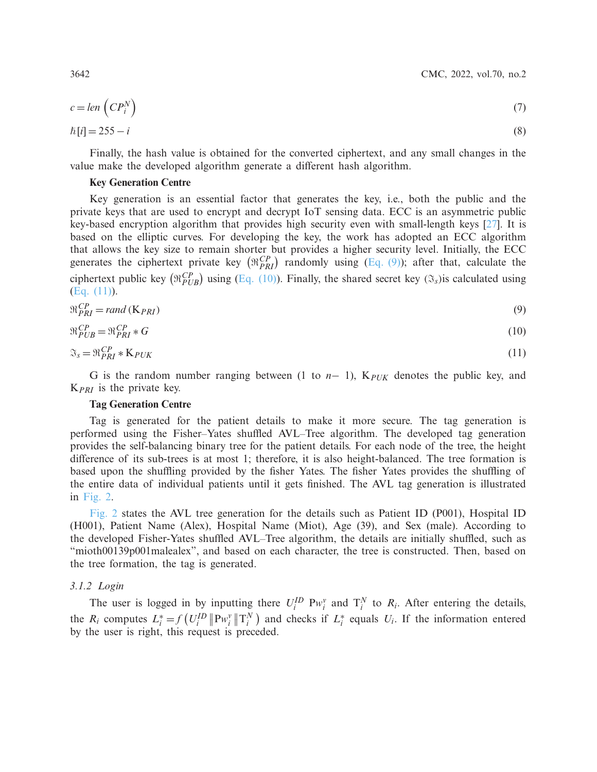3642 CMC, 2022, vol.70, no.2

$$
c = len\left(CP_i^N\right) \tag{7}
$$

$$
\hbar[i] = 255 - i \tag{8}
$$

Finally, the hash value is obtained for the converted ciphertext, and any small changes in the value make the developed algorithm generate a different hash algorithm.

# <span id="page-5-0"></span>**Key Generation Centre**

Key generation is an essential factor that generates the key, i.e., both the public and the private keys that are used to encrypt and decrypt IoT sensing data. ECC is an asymmetric public key-based encryption algorithm that provides high security even with small-length keys [\[27\]](#page-15-16). It is based on the elliptic curves. For developing the key, the work has adopted an ECC algorithm that allows the key size to remain shorter but provides a higher security level. Initially, the ECC generates the ciphertext private key  $(\Re_{PRI}^{CP})$  randomly using [\(Eq. \(9\)\)](#page-5-1); after that, calculate the ciphertext public key  $(\Re_{PUB}^{CP})$  using [\(Eq. \(10\)\)](#page-5-2). Finally, the shared secret key  $(\Im_s)$ is calculated using [\(Eq. \(11\)\)](#page-5-3).

$$
\Re_{PRI}^{CP} = rand\left(\mathbf{K}_{PRI}\right) \tag{9}
$$

$$
\Re_{PUB}^{CP} = \Re_{PRI}^{CP} * G \tag{10}
$$

$$
\mathfrak{I}_s = \mathfrak{R}_{PRI}^{CP} * \mathbf{K}_{PUK} \tag{11}
$$

G is the random number ranging between (1 to *n*− 1), K*PUK* denotes the public key, and K*PRI* is the private key.

### <span id="page-5-3"></span><span id="page-5-2"></span><span id="page-5-1"></span>**Tag Generation Centre**

Tag is generated for the patient details to make it more secure. The tag generation is performed using the Fisher–Yates shuffled AVL–Tree algorithm. The developed tag generation provides the self-balancing binary tree for the patient details. For each node of the tree, the height difference of its sub-trees is at most 1; therefore, it is also height-balanced. The tree formation is based upon the shuffling provided by the fisher Yates. The fisher Yates provides the shuffling of the entire data of individual patients until it gets finished. The AVL tag generation is illustrated in [Fig. 2.](#page-6-0)

[Fig. 2](#page-6-0) states the AVL tree generation for the details such as Patient ID (P001), Hospital ID (H001), Patient Name (Alex), Hospital Name (Miot), Age (39), and Sex (male). According to the developed Fisher-Yates shuffled AVL–Tree algorithm, the details are initially shuffled, such as "mioth00139p001malealex", and based on each character, the tree is constructed. Then, based on the tree formation, the tag is generated.

# *3.1.2 Login*

The user is logged in by inputting there  $U_i^{ID} P w_i^v$  and  $T_i^N$  to  $R_i$ . After entering the details, the  $R_i$  computes  $L_i^* = f(U_i^{\text{ID}} \| P w_i^{\text{v}} \| T_i^{\text{N}})$  and checks if  $L_i^*$  equals  $U_i$ . If the information entered by the user is right, this request is preceded.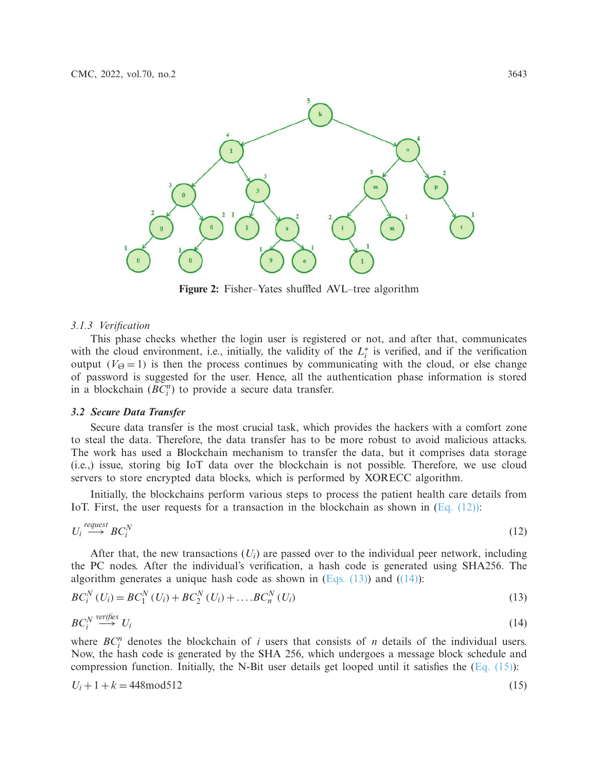

<span id="page-6-1"></span><span id="page-6-0"></span>**Figure 2:** Fisher–Yates shuffled AVL–tree algorithm

#### *3.1.3 Verification*

This phase checks whether the login user is registered or not, and after that, communicates with the cloud environment, i.e., initially, the validity of the  $L_i^*$  is verified, and if the verification output ( $V_{\Theta} = 1$ ) is then the process continues by communicating with the cloud, or else change of password is suggested for the user. Hence, all the authentication phase information is stored in a blockchain  $(\overline{BC}_i^n)$  to provide a secure data transfer.

### *3.2 Secure Data Transfer*

Secure data transfer is the most crucial task, which provides the hackers with a comfort zone to steal the data. Therefore, the data transfer has to be more robust to avoid malicious attacks. The work has used a Blockchain mechanism to transfer the data, but it comprises data storage (i.e.,) issue, storing big IoT data over the blockchain is not possible. Therefore, we use cloud servers to store encrypted data blocks, which is performed by XORECC algorithm.

Initially, the blockchains perform various steps to process the patient health care details from IoT. First, the user requests for a transaction in the blockchain as shown in  $(Eq. (12))$ :

$$
U_i \stackrel{request}{\longrightarrow} BC_i^N \tag{12}
$$

After that, the new transactions  $(U_i)$  are passed over to the individual peer network, including the PC nodes. After the individual's verification, a hash code is generated using SHA256. The algorithm generates a unique hash code as shown in  $(Eqs. (13))$  and  $((14))$ :

<span id="page-6-2"></span>
$$
BC_i^N(U_i) = BC_1^N(U_i) + BC_2^N(U_i) + \dots BC_n^N(U_i)
$$
\n(13)

<span id="page-6-3"></span>
$$
BC_i^N \stackrel{verifies}{\longrightarrow} U_i \tag{14}
$$

where  $BC_i^n$  denotes the blockchain of *i* users that consists of *n* details of the individual users. Now, the hash code is generated by the SHA 256, which undergoes a message block schedule and compression function. Initially, the N-Bit user details get looped until it satisfies the  $(Eq. (15))$ :

<span id="page-6-4"></span>
$$
U_i + 1 + k = 448 \text{mod} 512 \tag{15}
$$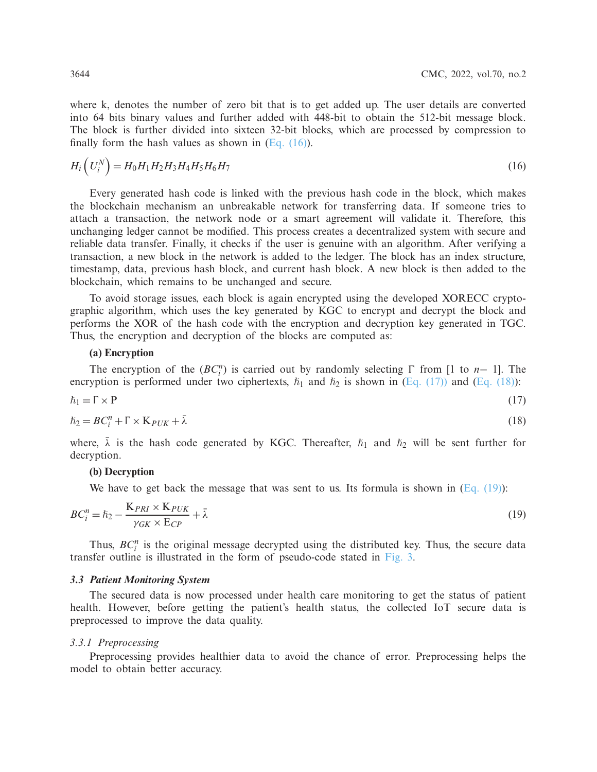where k, denotes the number of zero bit that is to get added up. The user details are converted into 64 bits binary values and further added with 448-bit to obtain the 512-bit message block. The block is further divided into sixteen 32-bit blocks, which are processed by compression to finally form the hash values as shown in  $(Eq. (16))$ .

<span id="page-7-0"></span>
$$
H_i\left(U_i^N\right) = H_0 H_1 H_2 H_3 H_4 H_5 H_6 H_7\tag{16}
$$

Every generated hash code is linked with the previous hash code in the block, which makes the blockchain mechanism an unbreakable network for transferring data. If someone tries to attach a transaction, the network node or a smart agreement will validate it. Therefore, this unchanging ledger cannot be modified. This process creates a decentralized system with secure and reliable data transfer. Finally, it checks if the user is genuine with an algorithm. After verifying a transaction, a new block in the network is added to the ledger. The block has an index structure, timestamp, data, previous hash block, and current hash block. A new block is then added to the blockchain, which remains to be unchanged and secure.

To avoid storage issues, each block is again encrypted using the developed XORECC cryptographic algorithm, which uses the key generated by KGC to encrypt and decrypt the block and performs the XOR of the hash code with the encryption and decryption key generated in TGC. Thus, the encryption and decryption of the blocks are computed as:

## <span id="page-7-1"></span>**(a) Encryption**

The encryption of the  $(BC_i^n)$  is carried out by randomly selecting  $\Gamma$  from [1 to *n*− 1]. The encryption is performed under two ciphertexts,  $\hbar_1$  and  $\hbar_2$  is shown in [\(Eq. \(17\)\)](#page-7-1) and [\(Eq. \(18\)\)](#page-7-2):

$$
\hbar_1 = \Gamma \times P \tag{17}
$$

$$
\hbar_2 = BC_i^n + \Gamma \times K_{PUK} + \bar{\lambda}
$$
\n(18)

where,  $\bar{\lambda}$  is the hash code generated by KGC. Thereafter,  $\hbar_1$  and  $\hbar_2$  will be sent further for decryption.

### <span id="page-7-2"></span>**(b) Decryption**

<span id="page-7-3"></span>We have to get back the message that was sent to us. Its formula is shown in  $(Eq, (19))$ :

$$
BC_i^n = \hbar_2 - \frac{K_{PRI} \times K_{PUK}}{\gamma_{GK} \times E_{CP}} + \bar{\lambda}
$$
\n(19)

Thus,  $BC_i^n$  is the original message decrypted using the distributed key. Thus, the secure data transfer outline is illustrated in the form of pseudo-code stated in [Fig. 3.](#page-8-0)

### *3.3 Patient Monitoring System*

The secured data is now processed under health care monitoring to get the status of patient health. However, before getting the patient's health status, the collected IoT secure data is preprocessed to improve the data quality.

#### *3.3.1 Preprocessing*

Preprocessing provides healthier data to avoid the chance of error. Preprocessing helps the model to obtain better accuracy.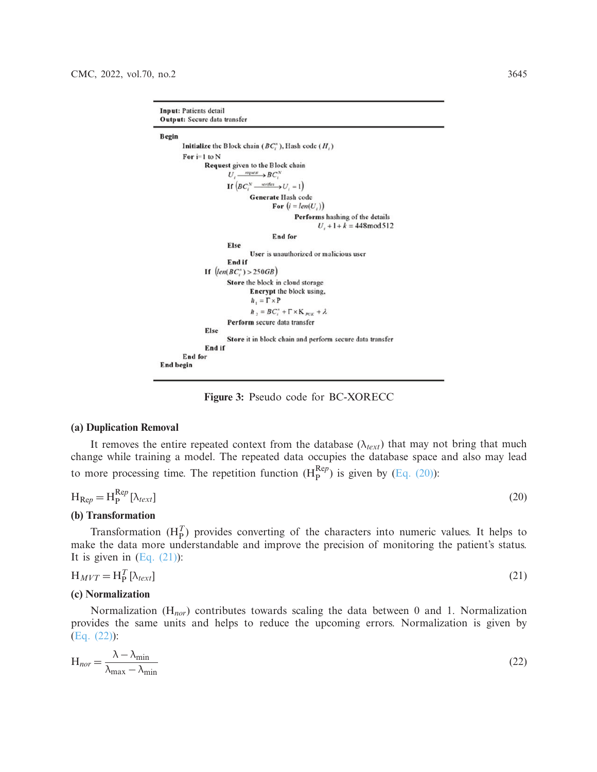```
Input: Patients detail
Output: Secure data transfer
Begin
        Initialize the Block chain (BC_i^n), Hash code (H_i)
        For i=1 to N
                Request given to the Block chain
                          U_i \longrightarrow BC_i^NIf \left( BC_{i}^{N} \longrightarrow U_{i}=1 \right)Generate Hash code
                                          For (i = len(U_i))Performs hashing of the details
                                                            U_1 + 1 + k = 448 \text{mod} 512End for
                         Else
                                  User is unauthorized or malicious user
                         End if
                 If \left( \text{len}(BC) \right) > 250GBStore the block in cloud storage
                                  Encrypt the block using,
                                  \hbar_1 = \Gamma \times P\hbar_2 = BC_i'' + \Gamma \times K_{P\cup K} + \lambdaPerform secure data transfer
                 Else
                         Store it in block chain and perform secure data transfer
                 End if
        End for
End begin
```
<span id="page-8-1"></span><span id="page-8-0"></span>**Figure 3:** Pseudo code for BC-XORECC

#### **(a) Duplication Removal**

It removes the entire repeated context from the database  $(\lambda_{text})$  that may not bring that much change while training a model. The repeated data occupies the database space and also may lead to more processing time. The repetition function  $(H_P^{Rep})$  is given by  $(Eq. (20))$ :

$$
H_{\text{Re}p} = H_{\text{P}}^{\text{Re}p} \left[ \lambda_{text{text}} \right] \tag{20}
$$

#### **(b) Transformation**

Transformation  $(H_P^T)$  provides converting of the characters into numeric values. It helps to make the data more understandable and improve the precision of monitoring the patient's status. It is given in  $(Eq. (21))$ :

<span id="page-8-2"></span>
$$
H_{MVT} = H_P^T[\lambda_{text}]\tag{21}
$$

#### **(c) Normalization**

Normalization (H*nor*) contributes towards scaling the data between 0 and 1. Normalization provides the same units and helps to reduce the upcoming errors. Normalization is given by [\(Eq. \(22\)\)](#page-8-3):

<span id="page-8-3"></span>
$$
H_{nor} = \frac{\lambda - \lambda_{\min}}{\lambda_{\max} - \lambda_{\min}}
$$
(22)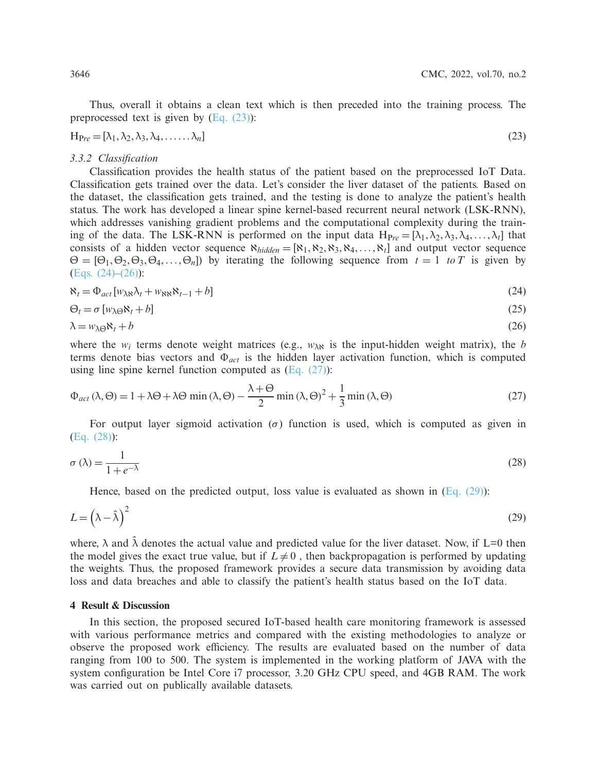<span id="page-9-0"></span>Thus, overall it obtains a clean text which is then preceded into the training process. The preprocessed text is given by  $(Eq. (23))$ :

$$
H_{Pre} = [\lambda_1, \lambda_2, \lambda_3, \lambda_4, \dots, \lambda_n]
$$
\n(23)

#### *3.3.2 Classification*

Classification provides the health status of the patient based on the preprocessed IoT Data. Classification gets trained over the data. Let's consider the liver dataset of the patients. Based on the dataset, the classification gets trained, and the testing is done to analyze the patient's health status. The work has developed a linear spine kernel-based recurrent neural network (LSK-RNN), which addresses vanishing gradient problems and the computational complexity during the training of the data. The LSK-RNN is performed on the input data  $H_{Pre} = [\lambda_1, \lambda_2, \lambda_3, \lambda_4, \ldots, \lambda_t]$  that consists of a hidden vector sequence  $\aleph_{hidden} = [\aleph_1, \aleph_2, \aleph_3, \aleph_4, \ldots, \aleph_t]$  and output vector sequence  $\Theta = [\Theta_1, \Theta_2, \Theta_3, \Theta_4, \dots, \Theta_n]$  by iterating the following sequence from  $t = 1$  *to* T is given by [\(Eqs. \(24\)](#page-9-1)[–\(26\)\)](#page-9-2):

<span id="page-9-1"></span>
$$
\aleph_t = \Phi_{act} [w_{\lambda \kappa} \lambda_t + w_{\kappa \kappa} \aleph_{t-1} + b]
$$
\n(24)

<span id="page-9-2"></span>
$$
\Theta_t = \sigma \left[ w_{\lambda \Theta} \mathbf{x}_t + b \right] \tag{25}
$$

$$
\lambda = w_{\lambda \Theta} \mathbf{\aleph}_{t} + b \tag{26}
$$

where the  $w_i$  terms denote weight matrices (e.g.,  $w_{\lambda\lambda}$  is the input-hidden weight matrix), the *b* terms denote bias vectors and Φ*act* is the hidden layer activation function, which is computed using line spine kernel function computed as  $(Eq. (27))$ :

<span id="page-9-3"></span>
$$
\Phi_{act}(\lambda, \Theta) = 1 + \lambda \Theta + \lambda \Theta \min(\lambda, \Theta) - \frac{\lambda + \Theta}{2} \min(\lambda, \Theta)^2 + \frac{1}{3} \min(\lambda, \Theta)
$$
\n(27)

<span id="page-9-4"></span>For output layer sigmoid activation ( $\sigma$ ) function is used, which is computed as given in [\(Eq. \(28\)\)](#page-9-4):

$$
\sigma(\lambda) = \frac{1}{1 + e^{-\lambda}}\tag{28}
$$

<span id="page-9-5"></span>Hence, based on the predicted output, loss value is evaluated as shown in  $(Eq. (29))$ :

$$
L = \left(\lambda - \hat{\lambda}\right)^2\tag{29}
$$

where,  $\lambda$  and  $\lambda$  denotes the actual value and predicted value for the liver dataset. Now, if L=0 then the model gives the exact true value, but if  $L \neq 0$ , then backpropagation is performed by updating the weights. Thus, the proposed framework provides a secure data transmission by avoiding data loss and data breaches and able to classify the patient's health status based on the IoT data.

### **4 Result & Discussion**

In this section, the proposed secured IoT-based health care monitoring framework is assessed with various performance metrics and compared with the existing methodologies to analyze or observe the proposed work efficiency. The results are evaluated based on the number of data ranging from 100 to 500. The system is implemented in the working platform of JAVA with the system configuration be Intel Core i7 processor, 3.20 GHz CPU speed, and 4GB RAM. The work was carried out on publically available datasets.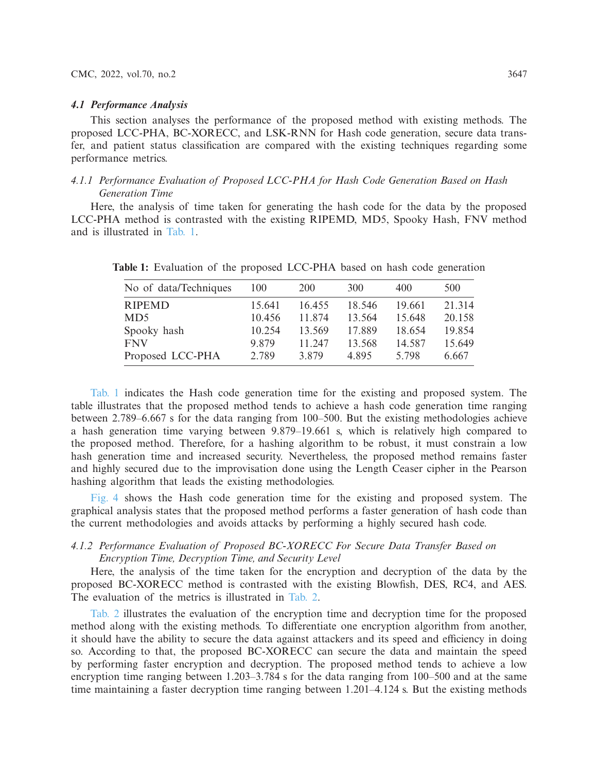#### *4.1 Performance Analysis*

This section analyses the performance of the proposed method with existing methods. The proposed LCC-PHA, BC-XORECC, and LSK-RNN for Hash code generation, secure data transfer, and patient status classification are compared with the existing techniques regarding some performance metrics.

# *4.1.1 Performance Evaluation of Proposed LCC-PHA for Hash Code Generation Based on Hash Generation Time*

Here, the analysis of time taken for generating the hash code for the data by the proposed LCC-PHA method is contrasted with the existing RIPEMD, MD5, Spooky Hash, FNV method and is illustrated in [Tab. 1.](#page-10-0)

| No of data/Techniques | 100    | 200    | 300    | 400    | 500    |
|-----------------------|--------|--------|--------|--------|--------|
| <b>RIPEMD</b>         | 15.641 | 16.455 | 18.546 | 19.661 | 21.314 |
| MD <sub>5</sub>       | 10.456 | 11.874 | 13.564 | 15.648 | 20.158 |
| Spooky hash           | 10.254 | 13.569 | 17.889 | 18.654 | 19.854 |
| <b>FNV</b>            | 9.879  | 11.247 | 13.568 | 14.587 | 15.649 |
| Proposed LCC-PHA      | 2.789  | 3.879  | 4.895  | 5.798  | 6.667  |

<span id="page-10-0"></span>**Table 1:** Evaluation of the proposed LCC-PHA based on hash code generation

[Tab. 1](#page-10-0) indicates the Hash code generation time for the existing and proposed system. The table illustrates that the proposed method tends to achieve a hash code generation time ranging between 2.789–6.667 s for the data ranging from 100–500. But the existing methodologies achieve a hash generation time varying between 9.879–19.661 s, which is relatively high compared to the proposed method. Therefore, for a hashing algorithm to be robust, it must constrain a low hash generation time and increased security. Nevertheless, the proposed method remains faster and highly secured due to the improvisation done using the Length Ceaser cipher in the Pearson hashing algorithm that leads the existing methodologies.

[Fig. 4](#page-11-0) shows the Hash code generation time for the existing and proposed system. The graphical analysis states that the proposed method performs a faster generation of hash code than the current methodologies and avoids attacks by performing a highly secured hash code.

# *4.1.2 Performance Evaluation of Proposed BC-XORECC For Secure Data Transfer Based on Encryption Time, Decryption Time, and Security Level*

Here, the analysis of the time taken for the encryption and decryption of the data by the proposed BC-XORECC method is contrasted with the existing Blowfish, DES, RC4, and AES. The evaluation of the metrics is illustrated in [Tab. 2.](#page-11-1)

[Tab. 2](#page-11-1) illustrates the evaluation of the encryption time and decryption time for the proposed method along with the existing methods. To differentiate one encryption algorithm from another, it should have the ability to secure the data against attackers and its speed and efficiency in doing so. According to that, the proposed BC-XORECC can secure the data and maintain the speed by performing faster encryption and decryption. The proposed method tends to achieve a low encryption time ranging between 1.203–3.784 s for the data ranging from 100–500 and at the same time maintaining a faster decryption time ranging between 1.201–4.124 s. But the existing methods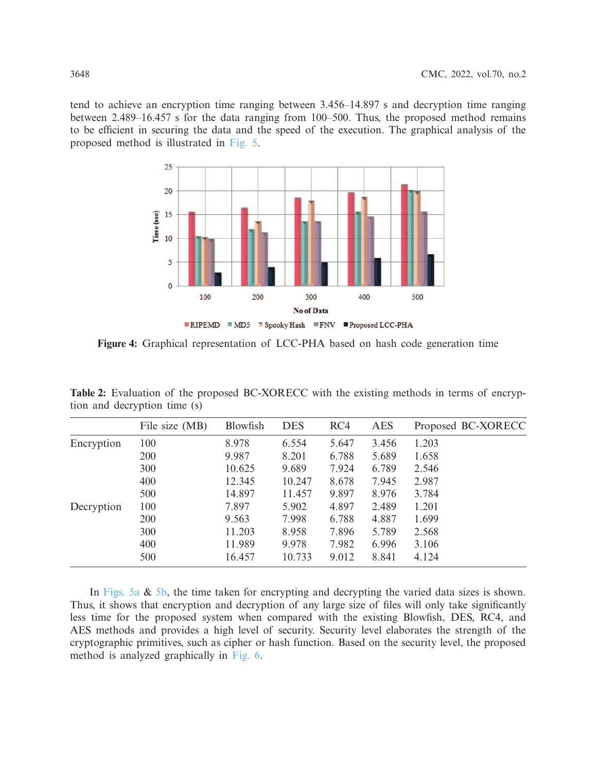tend to achieve an encryption time ranging between 3.456–14.897 s and decryption time ranging between 2.489–16.457 s for the data ranging from 100–500. Thus, the proposed method remains to be efficient in securing the data and the speed of the execution. The graphical analysis of the proposed method is illustrated in [Fig. 5.](#page-12-0)

<span id="page-11-0"></span>

**Figure 4:** Graphical representation of LCC-PHA based on hash code generation time

|            | File size (MB) | Blowfish | <b>DES</b> | RC4   | <b>AES</b> | Proposed BC-XORECC |
|------------|----------------|----------|------------|-------|------------|--------------------|
| Encryption | 100            | 8.978    | 6.554      | 5.647 | 3.456      | 1.203              |
|            | 200            | 9.987    | 8.201      | 6.788 | 5.689      | 1.658              |
|            | 300            | 10.625   | 9.689      | 7.924 | 6.789      | 2.546              |
|            | 400            | 12.345   | 10.247     | 8.678 | 7.945      | 2.987              |
|            | 500            | 14.897   | 11.457     | 9.897 | 8.976      | 3.784              |
| Decryption | 100            | 7.897    | 5.902      | 4.897 | 2.489      | 1.201              |
|            | 200            | 9.563    | 7.998      | 6.788 | 4.887      | 1.699              |
|            | 300            | 11.203   | 8.958      | 7.896 | 5.789      | 2.568              |
|            | 400            | 11.989   | 9.978      | 7.982 | 6.996      | 3.106              |
|            | 500            | 16.457   | 10.733     | 9.012 | 8.841      | 4.124              |
|            |                |          |            |       |            |                    |

<span id="page-11-1"></span>**Table 2:** Evaluation of the proposed BC-XORECC with the existing methods in terms of encryption and decryption time (s)

In [Figs. 5a](#page-12-0)  $\&$  [5b,](#page-12-0) the time taken for encrypting and decrypting the varied data sizes is shown. Thus, it shows that encryption and decryption of any large size of files will only take significantly less time for the proposed system when compared with the existing Blowfish, DES, RC4, and AES methods and provides a high level of security. Security level elaborates the strength of the cryptographic primitives, such as cipher or hash function. Based on the security level, the proposed method is analyzed graphically in [Fig. 6.](#page-13-0)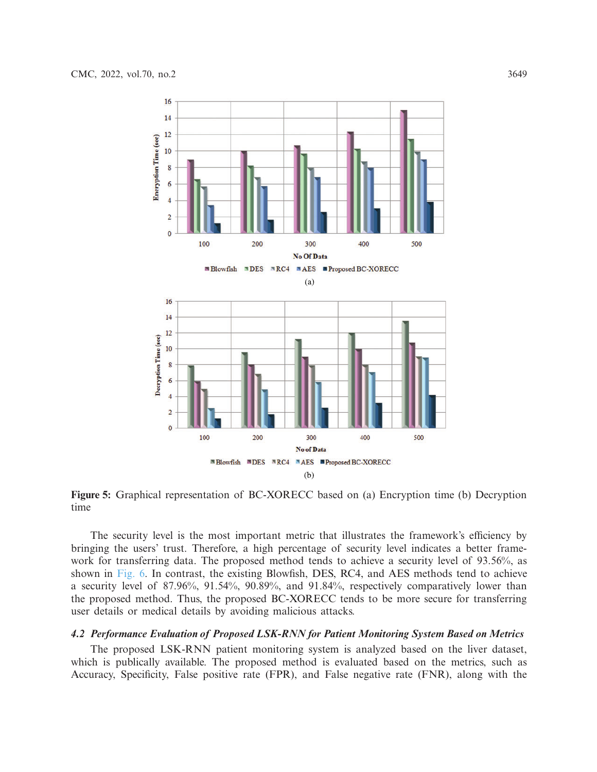

<span id="page-12-0"></span>**Figure 5:** Graphical representation of BC-XORECC based on (a) Encryption time (b) Decryption time

The security level is the most important metric that illustrates the framework's efficiency by bringing the users' trust. Therefore, a high percentage of security level indicates a better framework for transferring data. The proposed method tends to achieve a security level of 93.56%, as shown in [Fig. 6.](#page-13-0) In contrast, the existing Blowfish, DES, RC4, and AES methods tend to achieve a security level of 87.96%, 91.54%, 90.89%, and 91.84%, respectively comparatively lower than the proposed method. Thus, the proposed BC-XORECC tends to be more secure for transferring user details or medical details by avoiding malicious attacks.

### *4.2 Performance Evaluation of Proposed LSK-RNN for Patient Monitoring System Based on Metrics*

The proposed LSK-RNN patient monitoring system is analyzed based on the liver dataset, which is publically available. The proposed method is evaluated based on the metrics, such as Accuracy, Specificity, False positive rate (FPR), and False negative rate (FNR), along with the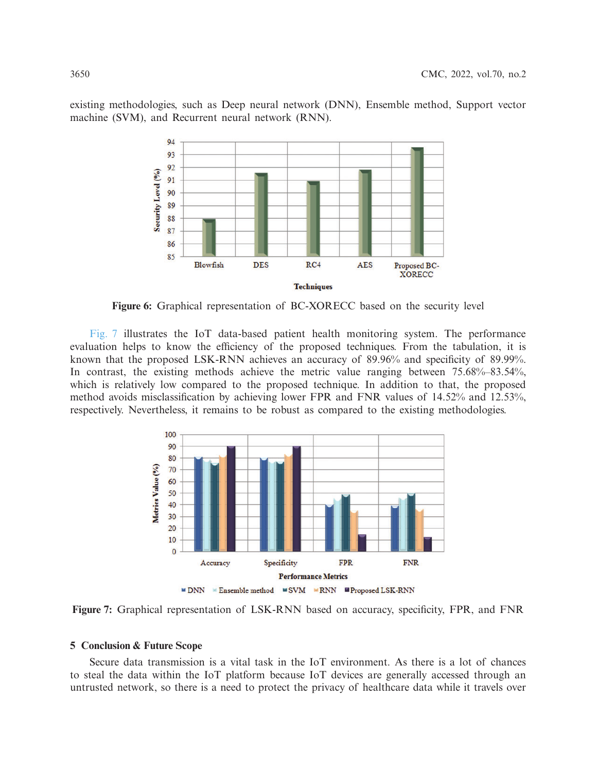existing methodologies, such as Deep neural network (DNN), Ensemble method, Support vector machine (SVM), and Recurrent neural network (RNN).



<span id="page-13-0"></span>**Figure 6:** Graphical representation of BC-XORECC based on the security level

[Fig. 7](#page-13-1) illustrates the IoT data-based patient health monitoring system. The performance evaluation helps to know the efficiency of the proposed techniques. From the tabulation, it is known that the proposed LSK-RNN achieves an accuracy of 89.96% and specificity of 89.99%. In contrast, the existing methods achieve the metric value ranging between 75.68%–83.54%, which is relatively low compared to the proposed technique. In addition to that, the proposed method avoids misclassification by achieving lower FPR and FNR values of 14.52% and 12.53%, respectively. Nevertheless, it remains to be robust as compared to the existing methodologies.

<span id="page-13-1"></span>

**Figure 7:** Graphical representation of LSK-RNN based on accuracy, specificity, FPR, and FNR

# **5 Conclusion & Future Scope**

Secure data transmission is a vital task in the IoT environment. As there is a lot of chances to steal the data within the IoT platform because IoT devices are generally accessed through an untrusted network, so there is a need to protect the privacy of healthcare data while it travels over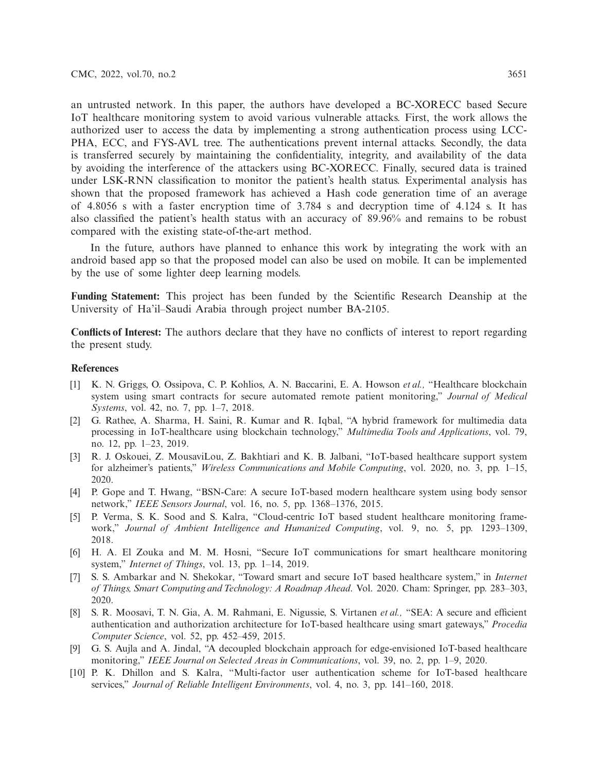an untrusted network. In this paper, the authors have developed a BC-XORECC based Secure IoT healthcare monitoring system to avoid various vulnerable attacks. First, the work allows the authorized user to access the data by implementing a strong authentication process using LCC-PHA, ECC, and FYS-AVL tree. The authentications prevent internal attacks. Secondly, the data is transferred securely by maintaining the confidentiality, integrity, and availability of the data by avoiding the interference of the attackers using BC-XORECC. Finally, secured data is trained under LSK-RNN classification to monitor the patient's health status. Experimental analysis has shown that the proposed framework has achieved a Hash code generation time of an average of 4.8056 s with a faster encryption time of 3.784 s and decryption time of 4.124 s. It has also classified the patient's health status with an accuracy of 89.96% and remains to be robust compared with the existing state-of-the-art method.

In the future, authors have planned to enhance this work by integrating the work with an android based app so that the proposed model can also be used on mobile. It can be implemented by the use of some lighter deep learning models.

**Funding Statement:** This project has been funded by the Scientific Research Deanship at the University of Ha'il–Saudi Arabia through project number BA-2105.

**Conflicts of Interest:** The authors declare that they have no conflicts of interest to report regarding the present study.

### **References**

- <span id="page-14-0"></span>[1] K. N. Griggs, O. Ossipova, C. P. Kohlios, A. N. Baccarini, E. A. Howson *et al.,* "Healthcare blockchain system using smart contracts for secure automated remote patient monitoring," *Journal of Medical Systems*, vol. 42, no. 7, pp. 1–7, 2018.
- <span id="page-14-1"></span>[2] G. Rathee, A. Sharma, H. Saini, R. Kumar and R. Iqbal, "A hybrid framework for multimedia data processing in IoT-healthcare using blockchain technology," *Multimedia Tools and Applications*, vol. 79, no. 12, pp. 1–23, 2019.
- <span id="page-14-2"></span>[3] R. J. Oskouei, Z. MousaviLou, Z. Bakhtiari and K. B. Jalbani, "IoT-based healthcare support system for alzheimer's patients," *Wireless Communications and Mobile Computing*, vol. 2020, no. 3, pp. 1–15, 2020.
- <span id="page-14-3"></span>[4] P. Gope and T. Hwang, "BSN-Care: A secure IoT-based modern healthcare system using body sensor network," *IEEE Sensors Journal*, vol. 16, no. 5, pp. 1368–1376, 2015.
- <span id="page-14-4"></span>[5] P. Verma, S. K. Sood and S. Kalra, "Cloud-centric IoT based student healthcare monitoring framework," *Journal of Ambient Intelligence and Humanized Computing*, vol. 9, no. 5, pp. 1293–1309, 2018.
- <span id="page-14-5"></span>[6] H. A. El Zouka and M. M. Hosni, "Secure IoT communications for smart healthcare monitoring system," *Internet of Things*, vol. 13, pp. 1–14, 2019.
- <span id="page-14-6"></span>[7] S. S. Ambarkar and N. Shekokar, "Toward smart and secure IoT based healthcare system," in *Internet of Things, Smart Computing and Technology: A Roadmap Ahead*. Vol. 2020. Cham: Springer, pp. 283–303, 2020.
- <span id="page-14-7"></span>[8] S. R. Moosavi, T. N. Gia, A. M. Rahmani, E. Nigussie, S. Virtanen *et al.,* "SEA: A secure and efficient authentication and authorization architecture for IoT-based healthcare using smart gateways," *Procedia Computer Science*, vol. 52, pp. 452–459, 2015.
- <span id="page-14-8"></span>[9] G. S. Aujla and A. Jindal, "A decoupled blockchain approach for edge-envisioned IoT-based healthcare monitoring," *IEEE Journal on Selected Areas in Communications*, vol. 39, no. 2, pp. 1–9, 2020.
- <span id="page-14-9"></span>[10] P. K. Dhillon and S. Kalra, "Multi-factor user authentication scheme for IoT-based healthcare services," *Journal of Reliable Intelligent Environments*, vol. 4, no. 3, pp. 141–160, 2018.